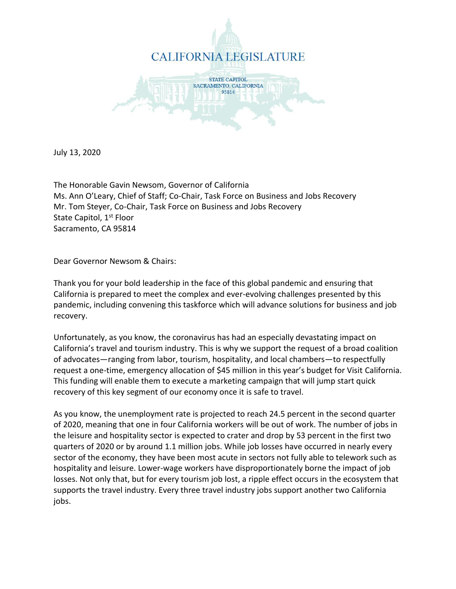

July 13, 2020

The Honorable Gavin Newsom, Governor of California Ms. Ann O'Leary, Chief of Staff; Co-Chair, Task Force on Business and Jobs Recovery Mr. Tom Steyer, Co-Chair, Task Force on Business and Jobs Recovery State Capitol, 1<sup>st</sup> Floor Sacramento, CA 95814

Dear Governor Newsom & Chairs:

Thank you for your bold leadership in the face of this global pandemic and ensuring that California is prepared to meet the complex and ever-evolving challenges presented by this pandemic, including convening this taskforce which will advance solutions for business and job recovery.

Unfortunately, as you know, the coronavirus has had an especially devastating impact on California's travel and tourism industry. This is why we support the request of a broad coalition of advocates—ranging from labor, tourism, hospitality, and local chambers—to respectfully request a one-time, emergency allocation of \$45 million in this year's budget for Visit California. This funding will enable them to execute a marketing campaign that will jump start quick recovery of this key segment of our economy once it is safe to travel.

As you know, the unemployment rate is projected to reach 24.5 percent in the second quarter of 2020, meaning that one in four California workers will be out of work. The number of jobs in the leisure and hospitality sector is expected to crater and drop by 53 percent in the first two quarters of 2020 or by around 1.1 million jobs. While job losses have occurred in nearly every sector of the economy, they have been most acute in sectors not fully able to telework such as hospitality and leisure. Lower-wage workers have disproportionately borne the impact of job losses. Not only that, but for every tourism job lost, a ripple effect occurs in the ecosystem that supports the travel industry. Every three travel industry jobs support another two California jobs.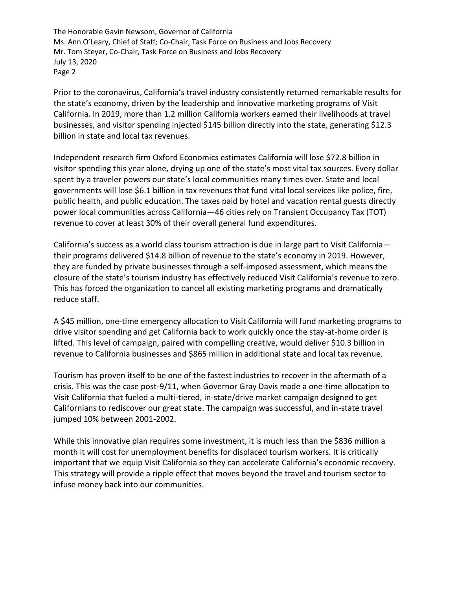Prior to the coronavirus, California's travel industry consistently returned remarkable results for the state's economy, driven by the leadership and innovative marketing programs of Visit California. In 2019, more than 1.2 million California workers earned their livelihoods at travel businesses, and visitor spending injected \$145 billion directly into the state, generating \$12.3 billion in state and local tax revenues.

Independent research firm Oxford Economics estimates California will lose \$72.8 billion in visitor spending this year alone, drying up one of the state's most vital tax sources. Every dollar spent by a traveler powers our state's local communities many times over. State and local governments will lose \$6.1 billion in tax revenues that fund vital local services like police, fire, public health, and public education. The taxes paid by hotel and vacation rental guests directly power local communities across California—46 cities rely on Transient Occupancy Tax (TOT) revenue to cover at least 30% of their overall general fund expenditures.

California's success as a world class tourism attraction is due in large part to Visit California their programs delivered \$14.8 billion of revenue to the state's economy in 2019. However, they are funded by private businesses through a self-imposed assessment, which means the closure of the state's tourism industry has effectively reduced Visit California's revenue to zero. This has forced the organization to cancel all existing marketing programs and dramatically reduce staff.

A \$45 million, one-time emergency allocation to Visit California will fund marketing programs to drive visitor spending and get California back to work quickly once the stay-at-home order is lifted. This level of campaign, paired with compelling creative, would deliver \$10.3 billion in revenue to California businesses and \$865 million in additional state and local tax revenue.

Tourism has proven itself to be one of the fastest industries to recover in the aftermath of a crisis. This was the case post-9/11, when Governor Gray Davis made a one-time allocation to Visit California that fueled a multi-tiered, in-state/drive market campaign designed to get Californians to rediscover our great state. The campaign was successful, and in-state travel jumped 10% between 2001-2002.

While this innovative plan requires some investment, it is much less than the \$836 million a month it will cost for unemployment benefits for displaced tourism workers. It is critically important that we equip Visit California so they can accelerate California's economic recovery. This strategy will provide a ripple effect that moves beyond the travel and tourism sector to infuse money back into our communities.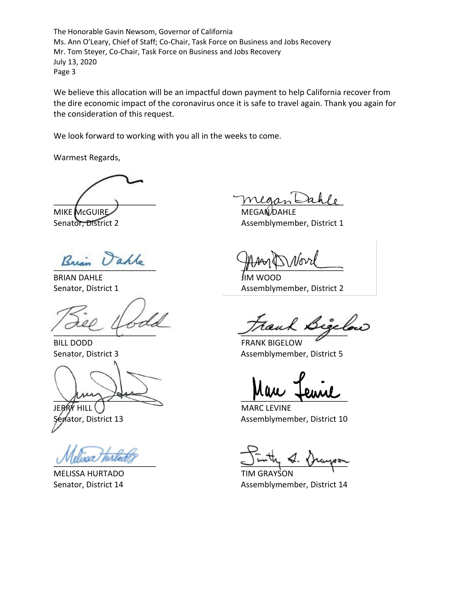We believe this allocation will be an impactful down payment to help California recover from the dire economic impact of the coronavirus once it is safe to travel again. Thank you again for the consideration of this request.

We look forward to working with you all in the weeks to come.

Warmest Regards,

MIKE McGUIRE MEGANIZE

BRIAN DAHLE JIM WOOD

BILL DODD FRANK BIGELOW

au composed to the service

MELISSA HURTADO **TIM GRAYSON** 

 $\mu_{\text{u},\text{t}}$ 

Senator, District 2 Assemblymember, District 1

 $\mu$ 

Senator, District 1 Assemblymember, District 2

 $\frac{1}{2}$ 

Senator, District 3 Assemblymember, District 5

HILL I STATE STATE MARC LEVINE ator, District 13 Assemblymember, District 10

 $U^{\nu}$  the phase of the subset of  $U^{\nu}$  and  $U^{\nu}$  and  $U^{\nu}$ 

Senator, District 14 **Assemblymember, District 14**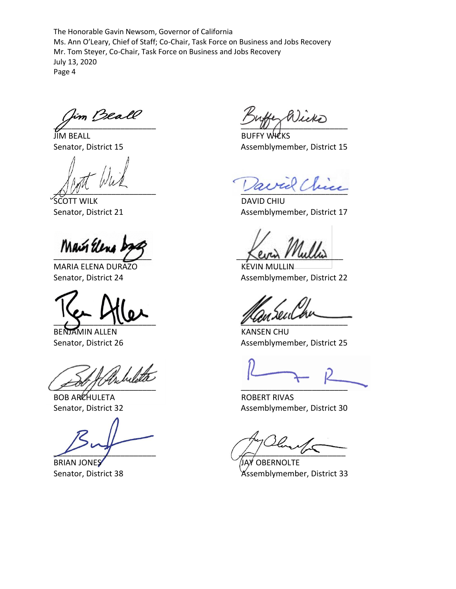Im Beall  $\mathbb{Z}$  and  $\mathbb{Z}$  and  $\mathbb{Z}$  and  $\mathbb{Z}$  are the set of  $\mathbb{Z}$ 

JIM BEALL BUFFY WICKS

SCOTT WILK DAVID CHIU

MARIA ELENA DURAZO KEVIN MULLIN

BENJAMIN ALLEN KANSEN CHU

 $\mathscr{L}^{ov}/\mathscr{I}^{ov}$ 

BOB ARCHULETA **ROBERT RIVAS** 

BRIAN JONES JAY OBERNOLTE

Senator, District 15 Assemblymember, District 15

 $\wedge^{\wedge^{\omega}}$ 

Senator, District 21 Assemblymember, District 17

\_\_\_\_\_\_\_\_\_\_\_\_\_\_\_\_\_\_\_\_\_\_ \_\_\_\_\_\_\_\_\_\_\_\_\_\_\_\_\_\_\_\_\_\_\_\_

Senator, District 24 Assemblymember, District 22

 $\sqrt{2}$ 

Senator, District 26 Assemblymember, District 25

Senator, District 32 Assemblymember, District 30

 $2\ell$ un  $\ell$ 

Senator, District 38 Assemblymember, District 33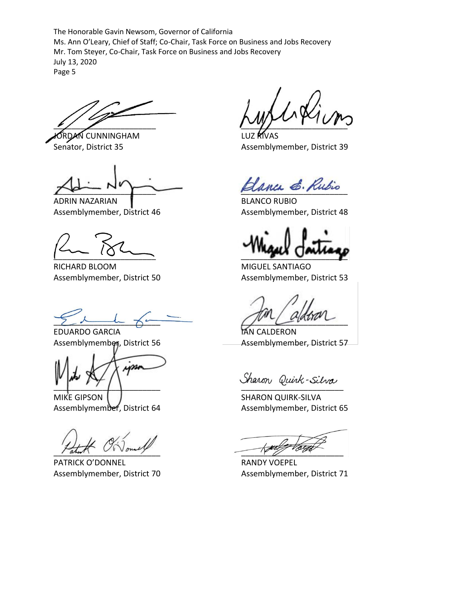$\sim$   $\sim$   $\sim$   $\sim$   $\sim$ 

**ORDAN CUNNINGHAM** LUZ RIVAS

ADRIN NAZARIAN **BLANCO RUBIO** Assemblymember, District 46 Assemblymember, District 48

RICHARD BLOOM MIGUEL SANTIAGO

 $Z\sim 1$  for  $Z\sim 1$ 

EDUARDO GARCIA INTERNATIONAL EDUARDO GARCIA

ym

MIKE GIPSON SHARON QUIRK-SILVA

PATRICK O'DONNEL RANDY VOEPEL

Senator, District 35 Assemblymember, District 39

Hanca E. Rubio

 $\frac{1}{2}$ 

Assemblymember, District 50 Assemblymember, District 53

Assemblymember, District 56 Assemblymember, District 57

Sharon Quirk-Silva

Assemblymember, District 64 Assemblymember, District 65

Tahur Voud y

Assemblymember, District 70 Assemblymember, District 71